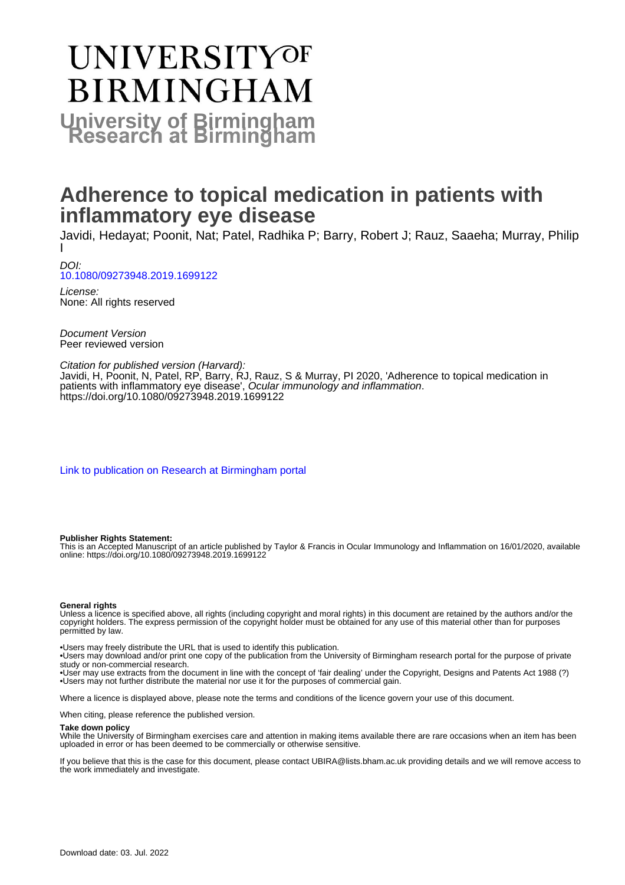# UNIVERSITYOF **BIRMINGHAM University of Birmingham**

# **Adherence to topical medication in patients with inflammatory eye disease**

Javidi, Hedayat; Poonit, Nat; Patel, Radhika P; Barry, Robert J; Rauz, Saaeha; Murray, Philip I

DOI: [10.1080/09273948.2019.1699122](https://doi.org/10.1080/09273948.2019.1699122)

License: None: All rights reserved

Document Version Peer reviewed version

Citation for published version (Harvard):

Javidi, H, Poonit, N, Patel, RP, Barry, RJ, Rauz, S & Murray, PI 2020, 'Adherence to topical medication in patients with inflammatory eye disease', Ocular immunology and inflammation. <https://doi.org/10.1080/09273948.2019.1699122>

[Link to publication on Research at Birmingham portal](https://birmingham.elsevierpure.com/en/publications/c933e5ed-a509-4015-9741-85bd446e7e20)

#### **Publisher Rights Statement:**

This is an Accepted Manuscript of an article published by Taylor & Francis in Ocular Immunology and Inflammation on 16/01/2020, available online: https://doi.org/10.1080/09273948.2019.1699122

#### **General rights**

Unless a licence is specified above, all rights (including copyright and moral rights) in this document are retained by the authors and/or the copyright holders. The express permission of the copyright holder must be obtained for any use of this material other than for purposes permitted by law.

• Users may freely distribute the URL that is used to identify this publication.

• Users may download and/or print one copy of the publication from the University of Birmingham research portal for the purpose of private study or non-commercial research.

• User may use extracts from the document in line with the concept of 'fair dealing' under the Copyright, Designs and Patents Act 1988 (?) • Users may not further distribute the material nor use it for the purposes of commercial gain.

Where a licence is displayed above, please note the terms and conditions of the licence govern your use of this document.

When citing, please reference the published version.

#### **Take down policy**

While the University of Birmingham exercises care and attention in making items available there are rare occasions when an item has been uploaded in error or has been deemed to be commercially or otherwise sensitive.

If you believe that this is the case for this document, please contact UBIRA@lists.bham.ac.uk providing details and we will remove access to the work immediately and investigate.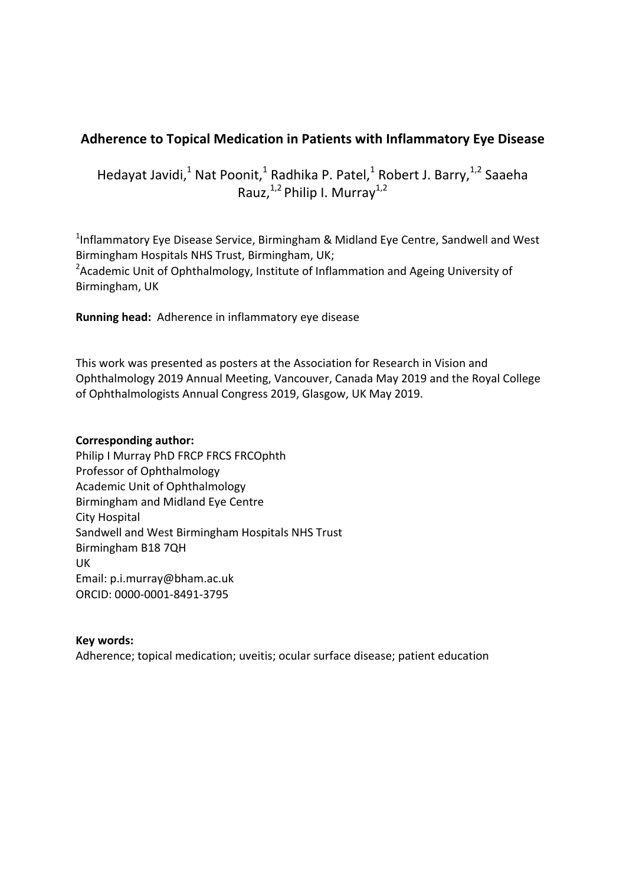#### **Adherence to Topical Medication in Patients with Inflammatory Eye Disease**

Hedayat Javidi,<sup>1</sup> Nat Poonit,<sup>1</sup> Radhika P. Patel,<sup>1</sup> Robert J. Barry,<sup>1,2</sup> Saaeha Rauz,  $1,2$  Philip I. Murray  $1,2$ 

<sup>1</sup>Inflammatory Eye Disease Service, Birmingham & Midland Eye Centre, Sandwell and West Birmingham Hospitals NHS Trust, Birmingham, UK; <sup>2</sup>Academic Unit of Ophthalmology, Institute of Inflammation and Ageing University of Birmingham, UK

**Running head:** Adherence in inflammatory eye disease

This work was presented as posters at the Association for Research in Vision and Ophthalmology 2019 Annual Meeting, Vancouver, Canada May 2019 and the Royal College of Ophthalmologists Annual Congress 2019, Glasgow, UK May 2019.

#### **Corresponding author:**

Philip I Murray PhD FRCP FRCS FRCOphth Professor of Ophthalmology Academic Unit of Ophthalmology Birmingham and Midland Eye Centre City Hospital Sandwell and West Birmingham Hospitals NHS Trust Birmingham B18 7QH UK Email: p.i.murray@bham.ac.uk ORCID: 0000‐0001‐8491‐3795

#### **Key words:**

Adherence; topical medication; uveitis; ocular surface disease; patient education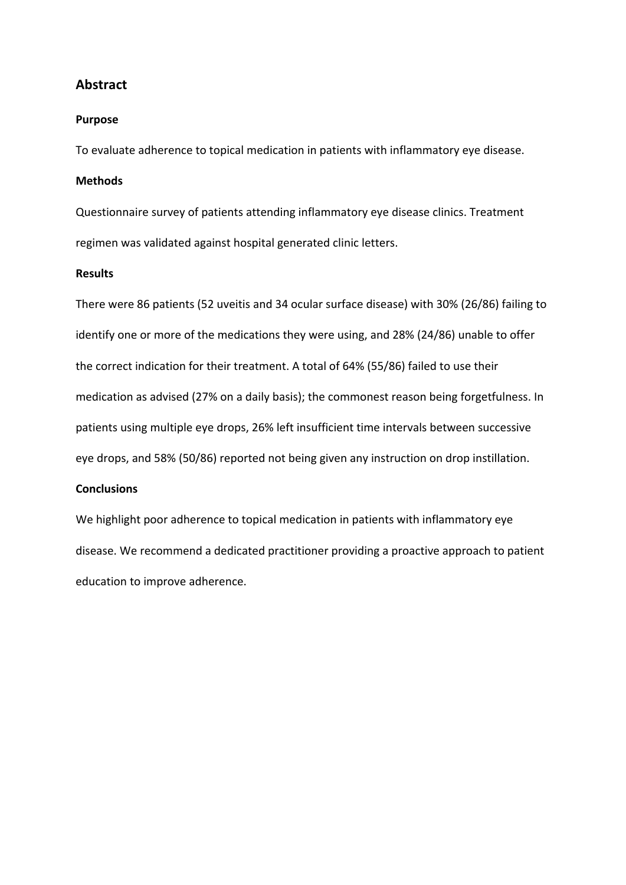#### **Abstract**

#### **Purpose**

To evaluate adherence to topical medication in patients with inflammatory eye disease.

#### **Methods**

Questionnaire survey of patients attending inflammatory eye disease clinics. Treatment regimen was validated against hospital generated clinic letters.

#### **Results**

There were 86 patients (52 uveitis and 34 ocular surface disease) with 30% (26/86) failing to identify one or more of the medications they were using, and 28% (24/86) unable to offer the correct indication for their treatment. A total of 64% (55/86) failed to use their medication as advised (27% on a daily basis); the commonest reason being forgetfulness. In patients using multiple eye drops, 26% left insufficient time intervals between successive eye drops, and 58% (50/86) reported not being given any instruction on drop instillation.

#### **Conclusions**

We highlight poor adherence to topical medication in patients with inflammatory eye disease. We recommend a dedicated practitioner providing a proactive approach to patient education to improve adherence.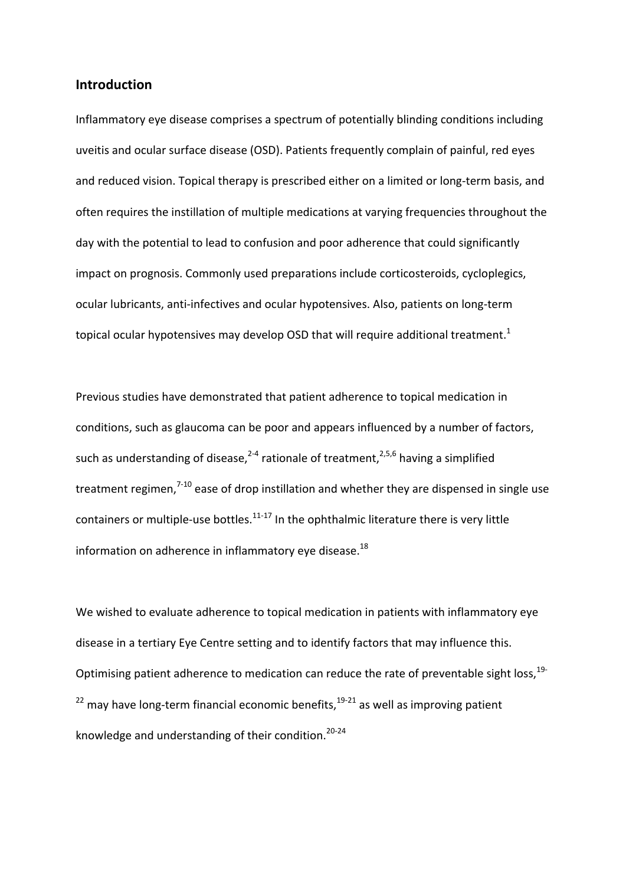#### **Introduction**

Inflammatory eye disease comprises a spectrum of potentially blinding conditions including uveitis and ocular surface disease (OSD). Patients frequently complain of painful, red eyes and reduced vision. Topical therapy is prescribed either on a limited or long-term basis, and often requires the instillation of multiple medications at varying frequencies throughout the day with the potential to lead to confusion and poor adherence that could significantly impact on prognosis. Commonly used preparations include corticosteroids, cycloplegics, ocular lubricants, anti‐infectives and ocular hypotensives. Also, patients on long‐term topical ocular hypotensives may develop OSD that will require additional treatment.<sup>1</sup>

Previous studies have demonstrated that patient adherence to topical medication in conditions, such as glaucoma can be poor and appears influenced by a number of factors, such as understanding of disease,  $2-4$  rationale of treatment,  $2.5,6$  having a simplified treatment regimen, $7-10$  ease of drop instillation and whether they are dispensed in single use containers or multiple-use bottles. $11-17$  In the ophthalmic literature there is very little information on adherence in inflammatory eye disease. $^{18}$ 

We wished to evaluate adherence to topical medication in patients with inflammatory eye disease in a tertiary Eye Centre setting and to identify factors that may influence this. Optimising patient adherence to medication can reduce the rate of preventable sight loss,<sup>19-</sup>  $22$  may have long-term financial economic benefits,  $19-21$  as well as improving patient knowledge and understanding of their condition.<sup>20-24</sup>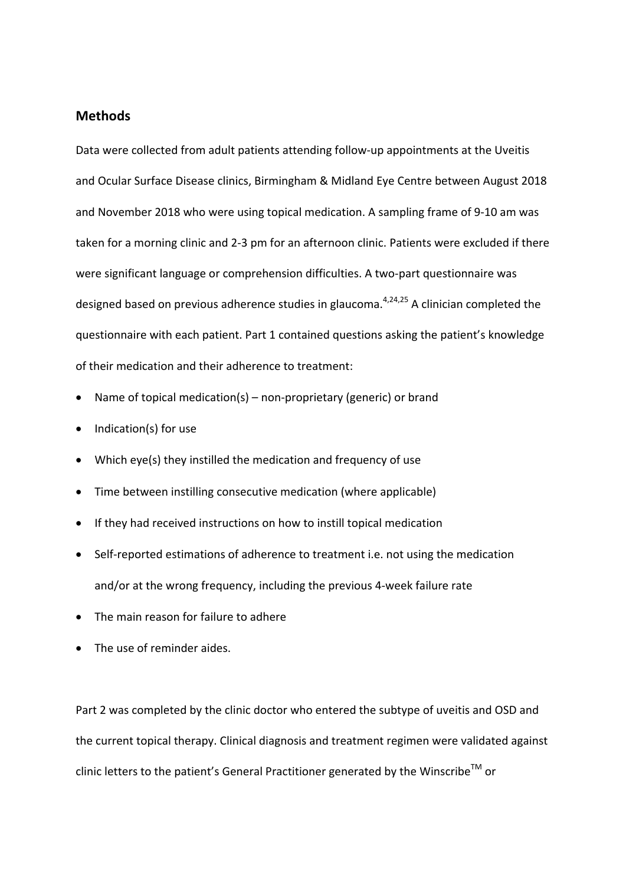#### **Methods**

Data were collected from adult patients attending follow‐up appointments at the Uveitis and Ocular Surface Disease clinics, Birmingham & Midland Eye Centre between August 2018 and November 2018 who were using topical medication. A sampling frame of 9‐10 am was taken for a morning clinic and 2‐3 pm for an afternoon clinic. Patients were excluded if there were significant language or comprehension difficulties. A two-part questionnaire was designed based on previous adherence studies in glaucoma. $4,24,25$  A clinician completed the questionnaire with each patient. Part 1 contained questions asking the patient's knowledge of their medication and their adherence to treatment:

- Name of topical medication(s) non‐proprietary (generic) or brand
- Indication(s) for use
- Which eye(s) they instilled the medication and frequency of use
- Time between instilling consecutive medication (where applicable)
- If they had received instructions on how to instill topical medication
- Self-reported estimations of adherence to treatment i.e. not using the medication and/or at the wrong frequency, including the previous 4‐week failure rate
- The main reason for failure to adhere
- The use of reminder aides.

Part 2 was completed by the clinic doctor who entered the subtype of uveitis and OSD and the current topical therapy. Clinical diagnosis and treatment regimen were validated against clinic letters to the patient's General Practitioner generated by the Winscribe<sup>TM</sup> or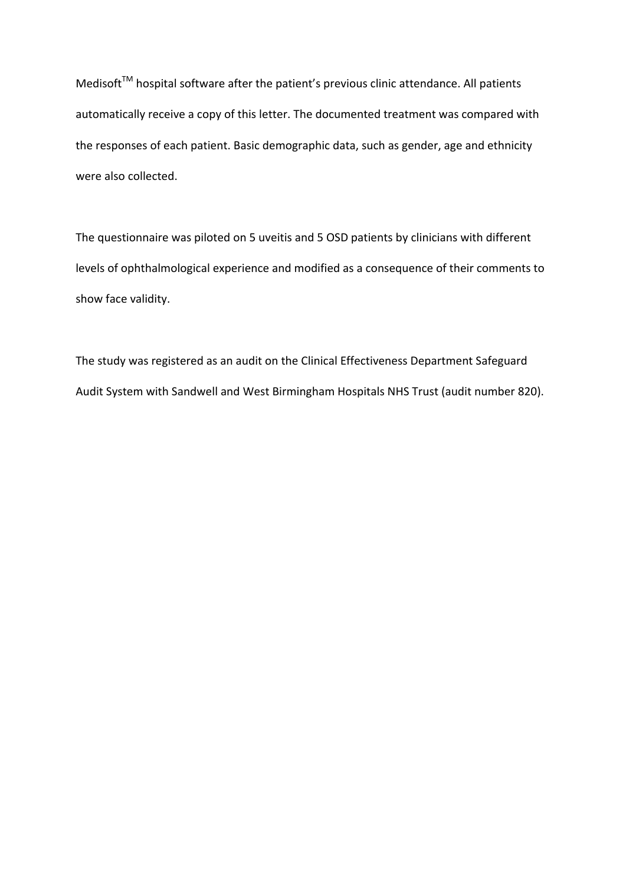Medisoft™ hospital software after the patient's previous clinic attendance. All patients automatically receive a copy of this letter. The documented treatment was compared with the responses of each patient. Basic demographic data, such as gender, age and ethnicity were also collected.

The questionnaire was piloted on 5 uveitis and 5 OSD patients by clinicians with different levels of ophthalmological experience and modified as a consequence of their comments to show face validity.

The study was registered as an audit on the Clinical Effectiveness Department Safeguard Audit System with Sandwell and West Birmingham Hospitals NHS Trust (audit number 820).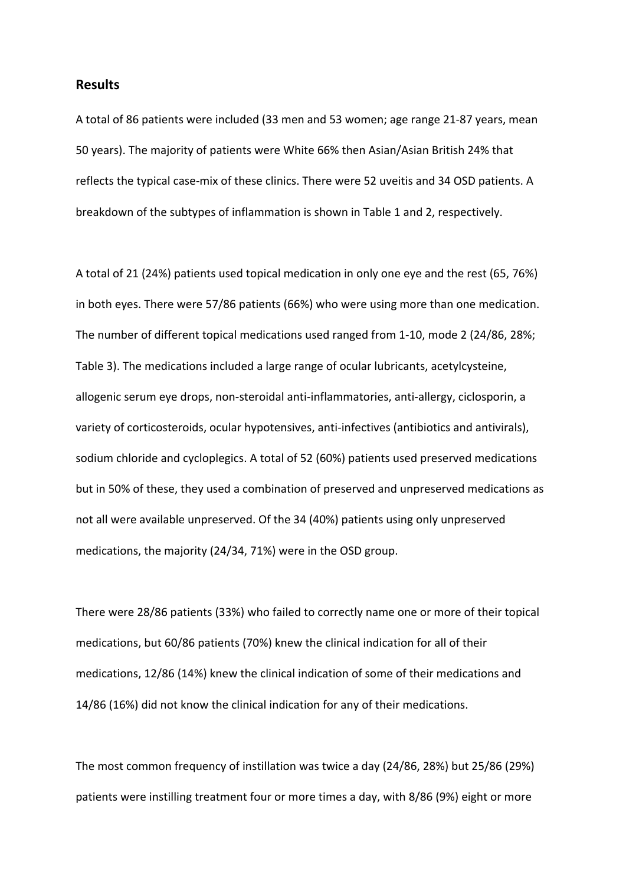#### **Results**

A total of 86 patients were included (33 men and 53 women; age range 21‐87 years, mean 50 years). The majority of patients were White 66% then Asian/Asian British 24% that reflects the typical case‐mix of these clinics. There were 52 uveitis and 34 OSD patients. A breakdown of the subtypes of inflammation is shown in Table 1 and 2, respectively.

A total of 21 (24%) patients used topical medication in only one eye and the rest (65, 76%) in both eyes. There were 57/86 patients (66%) who were using more than one medication. The number of different topical medications used ranged from 1‐10, mode 2 (24/86, 28%; Table 3). The medications included a large range of ocular lubricants, acetylcysteine, allogenic serum eye drops, non‐steroidal anti‐inflammatories, anti‐allergy, ciclosporin, a variety of corticosteroids, ocular hypotensives, anti-infectives (antibiotics and antivirals), sodium chloride and cycloplegics. A total of 52 (60%) patients used preserved medications but in 50% of these, they used a combination of preserved and unpreserved medications as not all were available unpreserved. Of the 34 (40%) patients using only unpreserved medications, the majority (24/34, 71%) were in the OSD group.

There were 28/86 patients (33%) who failed to correctly name one or more of their topical medications, but 60/86 patients (70%) knew the clinical indication for all of their medications, 12/86 (14%) knew the clinical indication of some of their medications and 14/86 (16%) did not know the clinical indication for any of their medications.

The most common frequency of instillation was twice a day (24/86, 28%) but 25/86 (29%) patients were instilling treatment four or more times a day, with 8/86 (9%) eight or more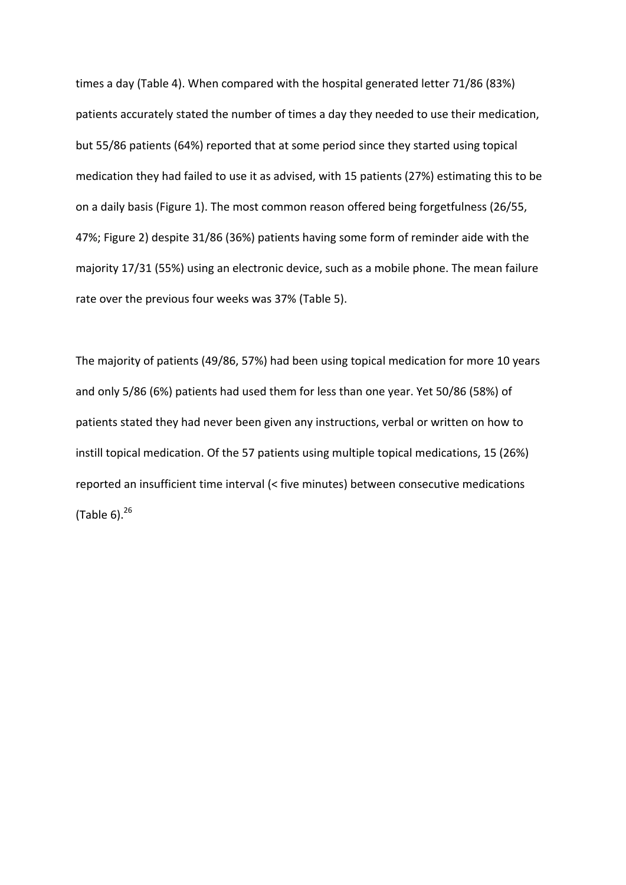times a day (Table 4). When compared with the hospital generated letter 71/86 (83%) patients accurately stated the number of times a day they needed to use their medication, but 55/86 patients (64%) reported that at some period since they started using topical medication they had failed to use it as advised, with 15 patients (27%) estimating this to be on a daily basis (Figure 1). The most common reason offered being forgetfulness (26/55, 47%; Figure 2) despite 31/86 (36%) patients having some form of reminder aide with the majority 17/31 (55%) using an electronic device, such as a mobile phone. The mean failure rate over the previous four weeks was 37% (Table 5).

The majority of patients (49/86, 57%) had been using topical medication for more 10 years and only 5/86 (6%) patients had used them for less than one year. Yet 50/86 (58%) of patients stated they had never been given any instructions, verbal or written on how to instill topical medication. Of the 57 patients using multiple topical medications, 15 (26%) reported an insufficient time interval (< five minutes) between consecutive medications (Table  $6$ ). $26$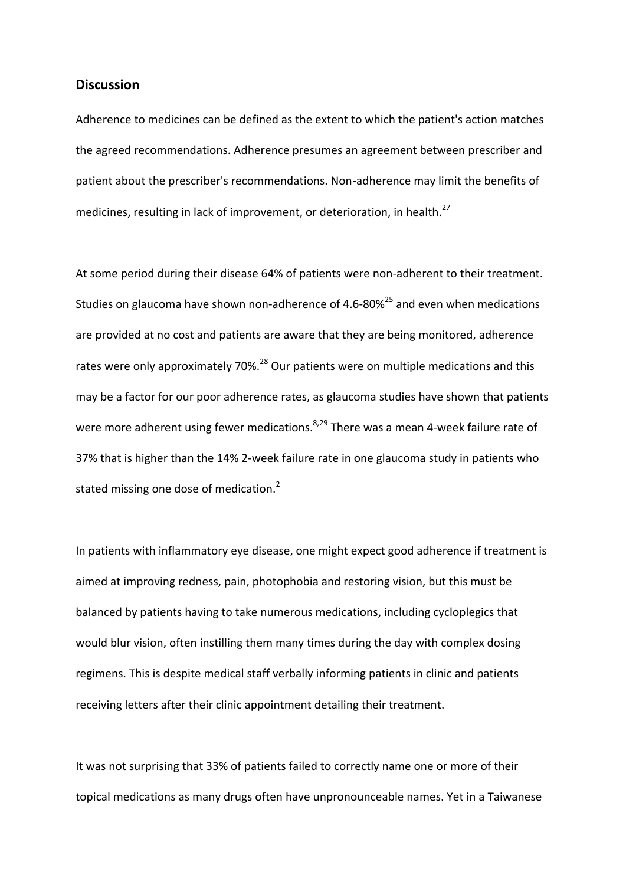#### **Discussion**

Adherence to medicines can be defined as the extent to which the patient's action matches the agreed recommendations. Adherence presumes an agreement between prescriber and patient about the prescriber's recommendations. Non-adherence may limit the benefits of medicines, resulting in lack of improvement, or deterioration, in health. $^{27}$ 

At some period during their disease 64% of patients were non-adherent to their treatment. Studies on glaucoma have shown non-adherence of 4.6-80% $^{25}$  and even when medications are provided at no cost and patients are aware that they are being monitored, adherence rates were only approximately 70%.<sup>28</sup> Our patients were on multiple medications and this may be a factor for our poor adherence rates, as glaucoma studies have shown that patients were more adherent using fewer medications.<sup>8,29</sup> There was a mean 4-week failure rate of 37% that is higher than the 14% 2‐week failure rate in one glaucoma study in patients who stated missing one dose of medication.<sup>2</sup>

In patients with inflammatory eye disease, one might expect good adherence if treatment is aimed at improving redness, pain, photophobia and restoring vision, but this must be balanced by patients having to take numerous medications, including cycloplegics that would blur vision, often instilling them many times during the day with complex dosing regimens. This is despite medical staff verbally informing patients in clinic and patients receiving letters after their clinic appointment detailing their treatment.

It was not surprising that 33% of patients failed to correctly name one or more of their topical medications as many drugs often have unpronounceable names. Yet in a Taiwanese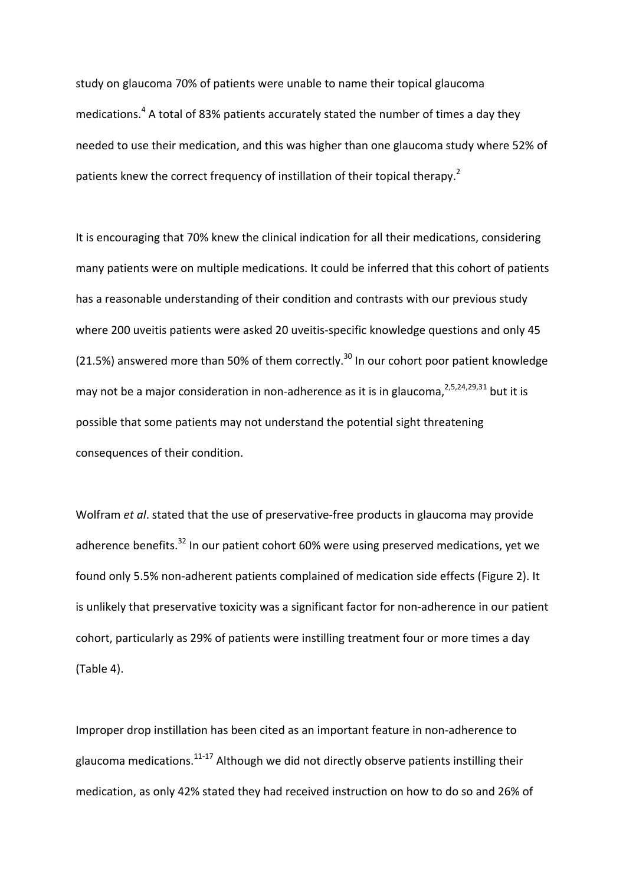study on glaucoma 70% of patients were unable to name their topical glaucoma medications.<sup>4</sup> A total of 83% patients accurately stated the number of times a day they needed to use their medication, and this was higher than one glaucoma study where 52% of patients knew the correct frequency of instillation of their topical therapy.<sup>2</sup>

It is encouraging that 70% knew the clinical indication for all their medications, considering many patients were on multiple medications. It could be inferred that this cohort of patients has a reasonable understanding of their condition and contrasts with our previous study where 200 uveitis patients were asked 20 uveitis-specific knowledge questions and only 45 (21.5%) answered more than 50% of them correctly.<sup>30</sup> In our cohort poor patient knowledge may not be a major consideration in non-adherence as it is in glaucoma,  $2,5,24,29,31$  but it is possible that some patients may not understand the potential sight threatening consequences of their condition.

Wolfram *et al.* stated that the use of preservative-free products in glaucoma may provide adherence benefits.<sup>32</sup> In our patient cohort 60% were using preserved medications, yet we found only 5.5% non‐adherent patients complained of medication side effects (Figure 2). It is unlikely that preservative toxicity was a significant factor for non-adherence in our patient cohort, particularly as 29% of patients were instilling treatment four or more times a day (Table 4).

Improper drop instillation has been cited as an important feature in non-adherence to glaucoma medications. $11-17$  Although we did not directly observe patients instilling their medication, as only 42% stated they had received instruction on how to do so and 26% of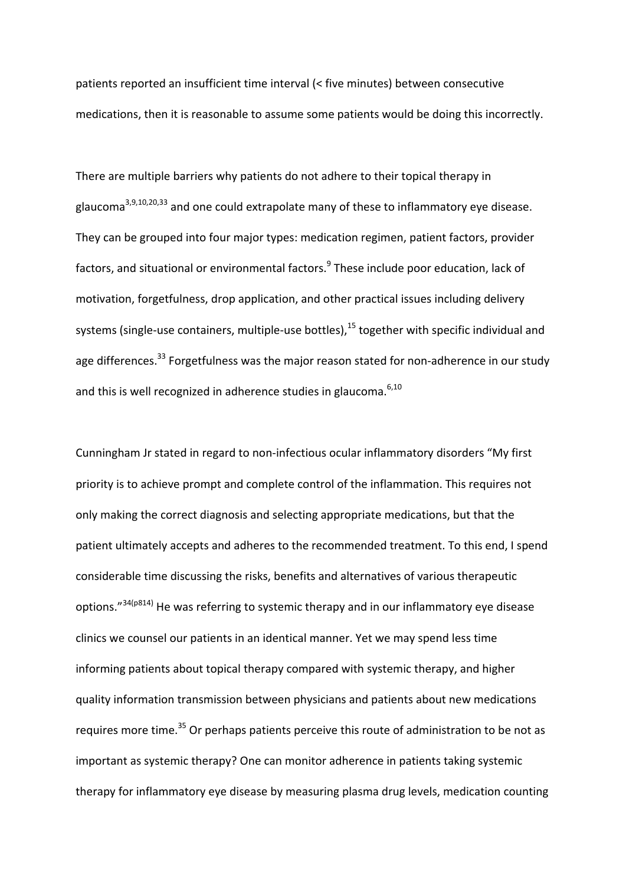patients reported an insufficient time interval (< five minutes) between consecutive medications, then it is reasonable to assume some patients would be doing this incorrectly.

There are multiple barriers why patients do not adhere to their topical therapy in glaucoma<sup>3,9,10,20,33</sup> and one could extrapolate many of these to inflammatory eye disease. They can be grouped into four major types: medication regimen, patient factors, provider factors, and situational or environmental factors.<sup>9</sup> These include poor education, lack of motivation, forgetfulness, drop application, and other practical issues including delivery systems (single-use containers, multiple-use bottles),<sup>15</sup> together with specific individual and age differences.<sup>33</sup> Forgetfulness was the major reason stated for non-adherence in our study and this is well recognized in adherence studies in glaucoma. $6,10$ 

Cunningham Jr stated in regard to non‐infectious ocular inflammatory disorders "My first priority is to achieve prompt and complete control of the inflammation. This requires not only making the correct diagnosis and selecting appropriate medications, but that the patient ultimately accepts and adheres to the recommended treatment. To this end, I spend considerable time discussing the risks, benefits and alternatives of various therapeutic options."34(p814) He was referring to systemic therapy and in our inflammatory eye disease clinics we counsel our patients in an identical manner. Yet we may spend less time informing patients about topical therapy compared with systemic therapy, and higher quality information transmission between physicians and patients about new medications requires more time.<sup>35</sup> Or perhaps patients perceive this route of administration to be not as important as systemic therapy? One can monitor adherence in patients taking systemic therapy for inflammatory eye disease by measuring plasma drug levels, medication counting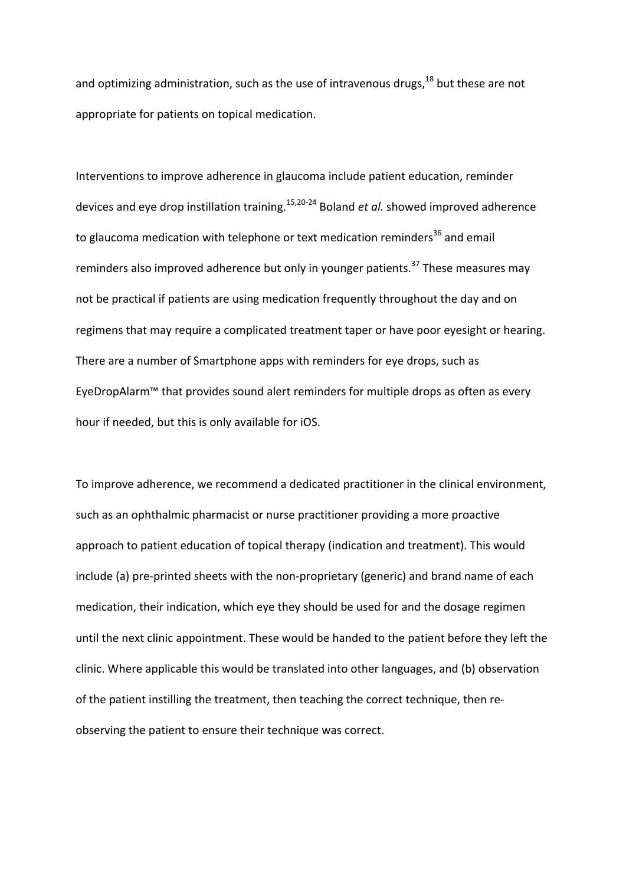and optimizing administration, such as the use of intravenous drugs, $18$  but these are not appropriate for patients on topical medication.

Interventions to improve adherence in glaucoma include patient education, reminder devices and eye drop instillation training.<sup>15,20-24</sup> Boland *et al.* showed improved adherence to glaucoma medication with telephone or text medication reminders<sup>36</sup> and email reminders also improved adherence but only in younger patients.<sup>37</sup> These measures may not be practical if patients are using medication frequently throughout the day and on regimens that may require a complicated treatment taper or have poor eyesight or hearing. There are a number of Smartphone apps with reminders for eye drops, such as EyeDropAlarm™ that provides sound alert reminders for multiple drops as often as every hour if needed, but this is only available for iOS.

To improve adherence, we recommend a dedicated practitioner in the clinical environment, such as an ophthalmic pharmacist or nurse practitioner providing a more proactive approach to patient education of topical therapy (indication and treatment). This would include (a) pre‐printed sheets with the non‐proprietary (generic) and brand name of each medication, their indication, which eye they should be used for and the dosage regimen until the next clinic appointment. These would be handed to the patient before they left the clinic. Where applicable this would be translated into other languages, and (b) observation of the patient instilling the treatment, then teaching the correct technique, then re‐ observing the patient to ensure their technique was correct.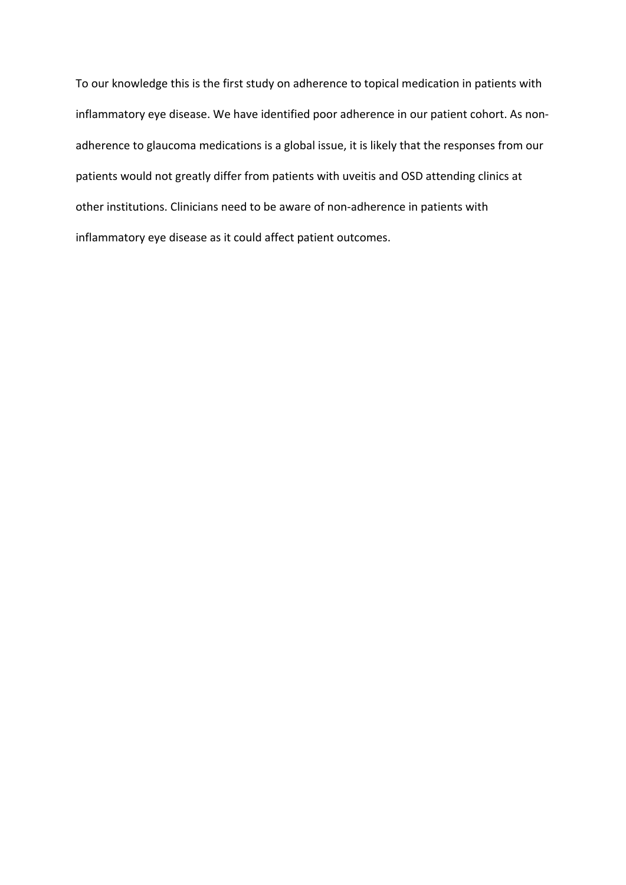To our knowledge this is the first study on adherence to topical medication in patients with inflammatory eye disease. We have identified poor adherence in our patient cohort. As non‐ adherence to glaucoma medications is a global issue, it is likely that the responses from our patients would not greatly differ from patients with uveitis and OSD attending clinics at other institutions. Clinicians need to be aware of non‐adherence in patients with inflammatory eye disease as it could affect patient outcomes.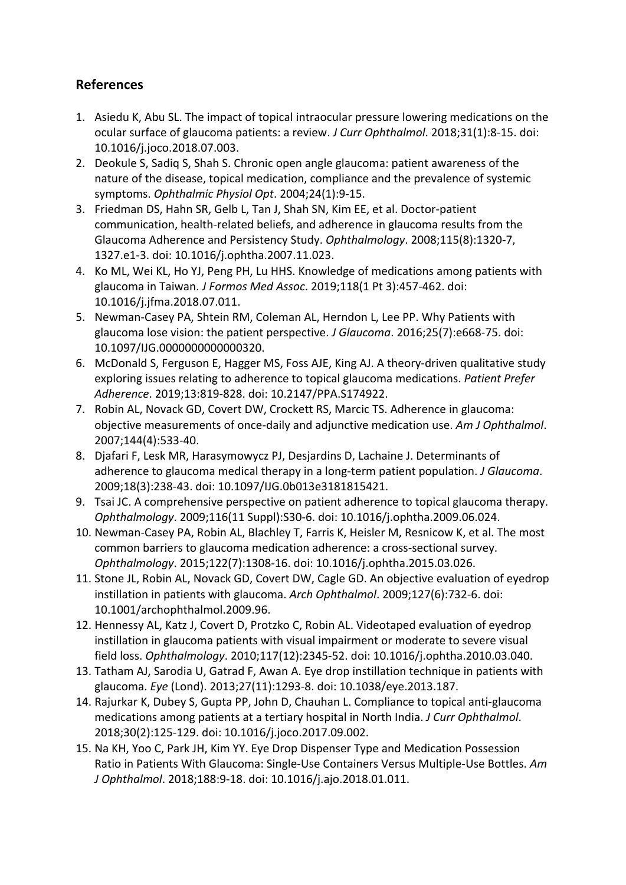### **References**

- 1. Asiedu K, Abu SL. The impact of topical intraocular pressure lowering medications on the ocular surface of glaucoma patients: a review. *J Curr Ophthalmol*. 2018;31(1):8‐15. doi: 10.1016/j.joco.2018.07.003.
- 2. Deokule S, Sadiq S, Shah S. Chronic open angle glaucoma: patient awareness of the nature of the disease, topical medication, compliance and the prevalence of systemic symptoms. *Ophthalmic Physiol Opt*. 2004;24(1):9‐15.
- 3. Friedman DS, Hahn SR, Gelb L, Tan J, Shah SN, Kim EE, et al. Doctor‐patient communication, health‐related beliefs, and adherence in glaucoma results from the Glaucoma Adherence and Persistency Study. *Ophthalmology*. 2008;115(8):1320‐7, 1327.e1‐3. doi: 10.1016/j.ophtha.2007.11.023.
- 4. Ko ML, Wei KL, Ho YJ, Peng PH, Lu HHS. Knowledge of medications among patients with glaucoma in Taiwan. *J Formos Med Assoc*. 2019;118(1 Pt 3):457‐462. doi: 10.1016/j.jfma.2018.07.011.
- 5. Newman-Casey PA, Shtein RM, Coleman AL, Herndon L, Lee PP. Why Patients with glaucoma lose vision: the patient perspective. *J Glaucoma*. 2016;25(7):e668‐75. doi: 10.1097/IJG.0000000000000320.
- 6. McDonald S, Ferguson E, Hagger MS, Foss AJE, King AJ. A theory‐driven qualitative study exploring issues relating to adherence to topical glaucoma medications. *Patient Prefer Adherence*. 2019;13:819‐828. doi: 10.2147/PPA.S174922.
- 7. Robin AL, Novack GD, Covert DW, Crockett RS, Marcic TS. Adherence in glaucoma: objective measurements of once‐daily and adjunctive medication use. *Am J Ophthalmol*. 2007;144(4):533‐40.
- 8. Djafari F, Lesk MR, Harasymowycz PJ, Desjardins D, Lachaine J. Determinants of adherence to glaucoma medical therapy in a long‐term patient population. *J Glaucoma*. 2009;18(3):238‐43. doi: 10.1097/IJG.0b013e3181815421.
- 9. Tsai JC. A comprehensive perspective on patient adherence to topical glaucoma therapy. *Ophthalmology*. 2009;116(11 Suppl):S30‐6. doi: 10.1016/j.ophtha.2009.06.024.
- 10. Newman‐Casey PA, Robin AL, Blachley T, Farris K, Heisler M, Resnicow K, et al. The most common barriers to glaucoma medication adherence: a cross‐sectional survey. *Ophthalmology*. 2015;122(7):1308‐16. doi: 10.1016/j.ophtha.2015.03.026.
- 11. Stone JL, Robin AL, Novack GD, Covert DW, Cagle GD. An objective evaluation of eyedrop instillation in patients with glaucoma. *Arch Ophthalmol*. 2009;127(6):732‐6. doi: 10.1001/archophthalmol.2009.96.
- 12. Hennessy AL, Katz J, Covert D, Protzko C, Robin AL. Videotaped evaluation of eyedrop instillation in glaucoma patients with visual impairment or moderate to severe visual field loss. *Ophthalmology*. 2010;117(12):2345‐52. doi: 10.1016/j.ophtha.2010.03.040.
- 13. Tatham AJ, Sarodia U, Gatrad F, Awan A. Eye drop instillation technique in patients with glaucoma. *Eye* (Lond). 2013;27(11):1293‐8. doi: 10.1038/eye.2013.187.
- 14. Rajurkar K, Dubey S, Gupta PP, John D, Chauhan L. Compliance to topical anti‐glaucoma medications among patients at a tertiary hospital in North India. *J Curr Ophthalmol*. 2018;30(2):125‐129. doi: 10.1016/j.joco.2017.09.002.
- 15. Na KH, Yoo C, Park JH, Kim YY. Eye Drop Dispenser Type and Medication Possession Ratio in Patients With Glaucoma: Single‐Use Containers Versus Multiple‐Use Bottles. *Am J Ophthalmol*. 2018;188:9‐18. doi: 10.1016/j.ajo.2018.01.011.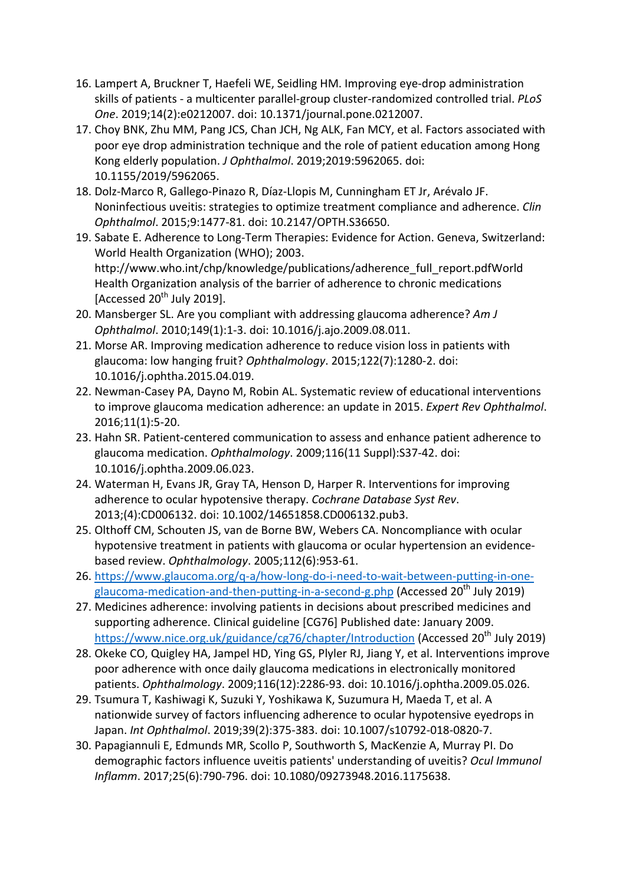- 16. Lampert A, Bruckner T, Haefeli WE, Seidling HM. Improving eye‐drop administration skills of patients ‐ a multicenter parallel‐group cluster‐randomized controlled trial. *PLoS One*. 2019;14(2):e0212007. doi: 10.1371/journal.pone.0212007.
- 17. Choy BNK, Zhu MM, Pang JCS, Chan JCH, Ng ALK, Fan MCY, et al. Factors associated with poor eye drop administration technique and the role of patient education among Hong Kong elderly population. *J Ophthalmol*. 2019;2019:5962065. doi: 10.1155/2019/5962065.
- 18. Dolz‐Marco R, Gallego‐Pinazo R, Díaz‐Llopis M, Cunningham ET Jr, Arévalo JF. Noninfectious uveitis: strategies to optimize treatment compliance and adherence. *Clin Ophthalmol*. 2015;9:1477‐81. doi: 10.2147/OPTH.S36650.
- 19. Sabate E. Adherence to Long‐Term Therapies: Evidence for Action. Geneva, Switzerland: World Health Organization (WHO); 2003. http://www.who.int/chp/knowledge/publications/adherence\_full\_report.pdfWorld Health Organization analysis of the barrier of adherence to chronic medications [Accessed  $20^{th}$  July 2019].
- 20. Mansberger SL. Are you compliant with addressing glaucoma adherence? *Am J Ophthalmol*. 2010;149(1):1‐3. doi: 10.1016/j.ajo.2009.08.011.
- 21. Morse AR. Improving medication adherence to reduce vision loss in patients with glaucoma: low hanging fruit? *Ophthalmology*. 2015;122(7):1280‐2. doi: 10.1016/j.ophtha.2015.04.019.
- 22. Newman‐Casey PA, Dayno M, Robin AL. Systematic review of educational interventions to improve glaucoma medication adherence: an update in 2015. *Expert Rev Ophthalmol*. 2016;11(1):5‐20.
- 23. Hahn SR. Patient‐centered communication to assess and enhance patient adherence to glaucoma medication. *Ophthalmology*. 2009;116(11 Suppl):S37‐42. doi: 10.1016/j.ophtha.2009.06.023.
- 24. Waterman H, Evans JR, Gray TA, Henson D, Harper R. Interventions for improving adherence to ocular hypotensive therapy. *Cochrane Database Syst Rev*. 2013;(4):CD006132. doi: 10.1002/14651858.CD006132.pub3.
- 25. Olthoff CM, Schouten JS, van de Borne BW, Webers CA. Noncompliance with ocular hypotensive treatment in patients with glaucoma or ocular hypertension an evidence‐ based review. *Ophthalmology*. 2005;112(6):953‐61.
- 26. https://www.glaucoma.org/q‐a/how‐long‐do‐i‐need‐to‐wait‐between‐putting‐in‐one‐ glaucoma-medication-and-then-putting-in-a-second-g.php (Accessed 20<sup>th</sup> July 2019)
- 27. Medicines adherence: involving patients in decisions about prescribed medicines and supporting adherence. Clinical guideline [CG76] Published date: January 2009. https://www.nice.org.uk/guidance/cg76/chapter/Introduction (Accessed 20<sup>th</sup> July 2019)
- 28. Okeke CO, Quigley HA, Jampel HD, Ying GS, Plyler RJ, Jiang Y, et al. Interventions improve poor adherence with once daily glaucoma medications in electronically monitored patients. *Ophthalmology*. 2009;116(12):2286‐93. doi: 10.1016/j.ophtha.2009.05.026.
- 29. Tsumura T, Kashiwagi K, Suzuki Y, Yoshikawa K, Suzumura H, Maeda T, et al. A nationwide survey of factors influencing adherence to ocular hypotensive eyedrops in Japan. *Int Ophthalmol*. 2019;39(2):375‐383. doi: 10.1007/s10792‐018‐0820‐7.
- 30. Papagiannuli E, Edmunds MR, Scollo P, Southworth S, MacKenzie A, Murray PI. Do demographic factors influence uveitis patients' understanding of uveitis? *Ocul Immunol Inflamm*. 2017;25(6):790‐796. doi: 10.1080/09273948.2016.1175638.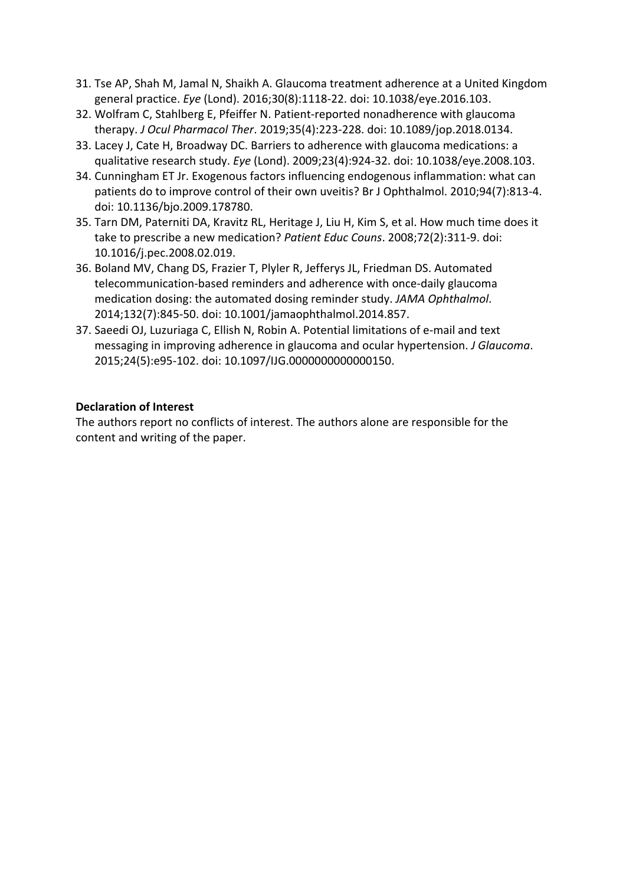- 31. Tse AP, Shah M, Jamal N, Shaikh A. Glaucoma treatment adherence at a United Kingdom general practice. *Eye* (Lond). 2016;30(8):1118‐22. doi: 10.1038/eye.2016.103.
- 32. Wolfram C, Stahlberg E, Pfeiffer N. Patient‐reported nonadherence with glaucoma therapy. *J Ocul Pharmacol Ther*. 2019;35(4):223‐228. doi: 10.1089/jop.2018.0134.
- 33. Lacey J, Cate H, Broadway DC. Barriers to adherence with glaucoma medications: a qualitative research study. *Eye* (Lond). 2009;23(4):924‐32. doi: 10.1038/eye.2008.103.
- 34. Cunningham ET Jr. Exogenous factors influencing endogenous inflammation: what can patients do to improve control of their own uveitis? Br J Ophthalmol. 2010;94(7):813‐4. doi: 10.1136/bjo.2009.178780.
- 35. Tarn DM, Paterniti DA, Kravitz RL, Heritage J, Liu H, Kim S, et al. How much time does it take to prescribe a new medication? *Patient Educ Couns*. 2008;72(2):311‐9. doi: 10.1016/j.pec.2008.02.019.
- 36. Boland MV, Chang DS, Frazier T, Plyler R, Jefferys JL, Friedman DS. Automated telecommunication‐based reminders and adherence with once‐daily glaucoma medication dosing: the automated dosing reminder study. *JAMA Ophthalmol*. 2014;132(7):845‐50. doi: 10.1001/jamaophthalmol.2014.857.
- 37. Saeedi OJ, Luzuriaga C, Ellish N, Robin A. Potential limitations of e‐mail and text messaging in improving adherence in glaucoma and ocular hypertension. *J Glaucoma*. 2015;24(5):e95‐102. doi: 10.1097/IJG.0000000000000150.

#### **Declaration of Interest**

The authors report no conflicts of interest. The authors alone are responsible for the content and writing of the paper.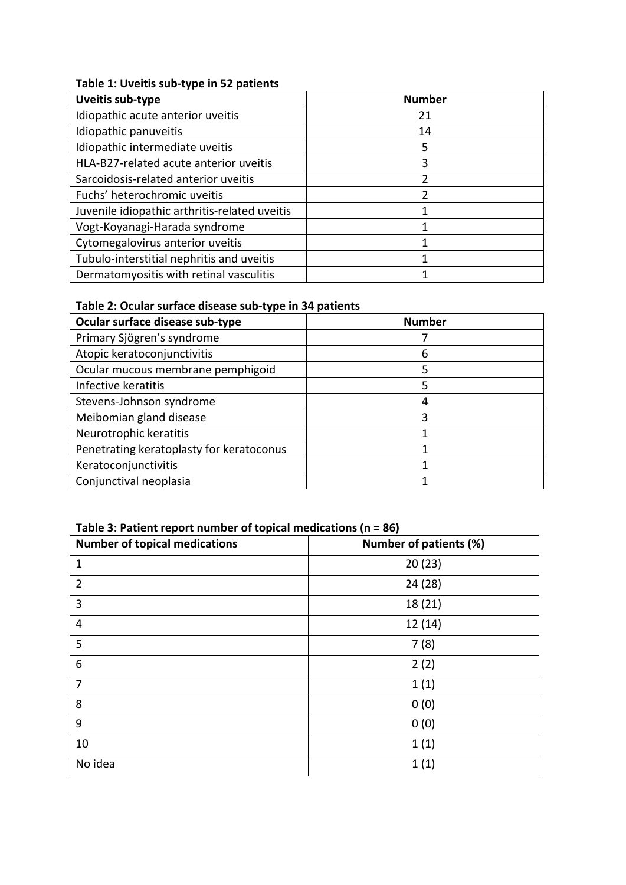#### **Table 1: Uveitis sub‐type in 52 patients**

| <b>Uveitis sub-type</b>                       | <b>Number</b> |
|-----------------------------------------------|---------------|
| Idiopathic acute anterior uveitis             | 21            |
| Idiopathic panuveitis                         | 14            |
| Idiopathic intermediate uveitis               | 5             |
| HLA-B27-related acute anterior uveitis        |               |
| Sarcoidosis-related anterior uveitis          |               |
| Fuchs' heterochromic uveitis                  |               |
| Juvenile idiopathic arthritis-related uveitis |               |
| Vogt-Koyanagi-Harada syndrome                 |               |
| Cytomegalovirus anterior uveitis              |               |
| Tubulo-interstitial nephritis and uveitis     |               |
| Dermatomyositis with retinal vasculitis       |               |

#### **Table 2: Ocular surface disease sub‐type in 34 patients**

| Ocular surface disease sub-type          | <b>Number</b> |
|------------------------------------------|---------------|
| Primary Sjögren's syndrome               |               |
| Atopic keratoconjunctivitis              | 6             |
| Ocular mucous membrane pemphigoid        | 5             |
| Infective keratitis                      |               |
| Stevens-Johnson syndrome                 |               |
| Meibomian gland disease                  | 3             |
| Neurotrophic keratitis                   |               |
| Penetrating keratoplasty for keratoconus |               |
| Keratoconjunctivitis                     |               |
| Conjunctival neoplasia                   |               |

# **Table 3: Patient report number of topical medications (n = 86)**

| <b>Number of topical medications</b> | <b>Number of patients (%)</b> |
|--------------------------------------|-------------------------------|
| $\mathbf 1$                          | 20(23)                        |
| $\overline{2}$                       | 24 (28)                       |
| 3                                    | 18 (21)                       |
| 4                                    | 12(14)                        |
| 5                                    | 7(8)                          |
| 6                                    | 2(2)                          |
| 7                                    | 1(1)                          |
| 8                                    | 0(0)                          |
| 9                                    | 0(0)                          |
| 10                                   | 1(1)                          |
| No idea                              | 1(1)                          |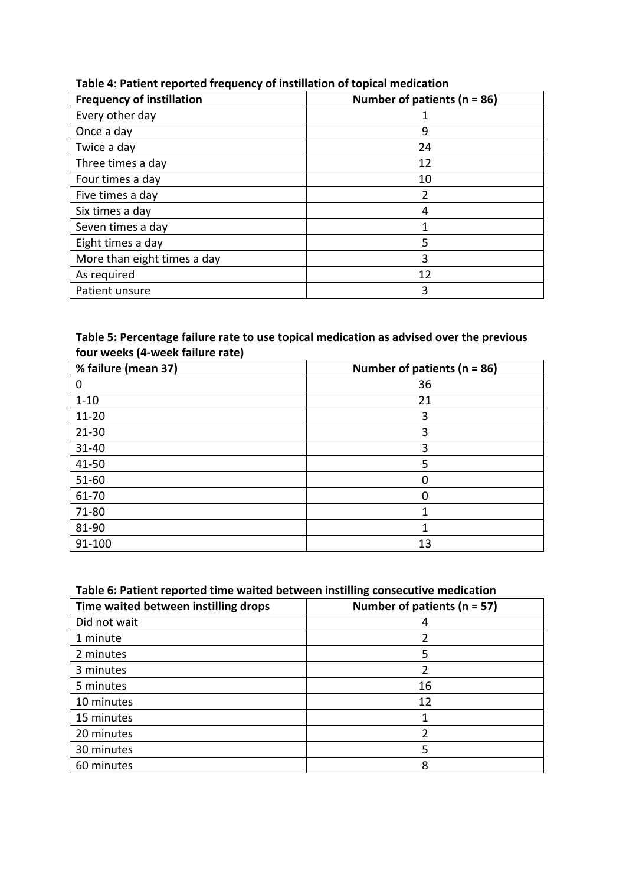| <b>Frequency of instillation</b> | Number of patients ( $n = 86$ ) |
|----------------------------------|---------------------------------|
| Every other day                  |                                 |
| Once a day                       | 9                               |
| Twice a day                      | 24                              |
| Three times a day                | 12                              |
| Four times a day                 | 10                              |
| Five times a day                 | 2                               |
| Six times a day                  | 4                               |
| Seven times a day                |                                 |
| Eight times a day                | 5                               |
| More than eight times a day      | 3                               |
| As required                      | 12                              |
| Patient unsure                   | 3                               |

#### **Table 4: Patient reported frequency of instillation of topical medication**

#### **Table 5: Percentage failure rate to use topical medication as advised over the previous four weeks (4‐week failure rate)**

| % failure (mean 37) | Number of patients ( $n = 86$ ) |
|---------------------|---------------------------------|
| 0                   | 36                              |
| $1 - 10$            | 21                              |
| $11 - 20$           | 3                               |
| $21 - 30$           | 3                               |
| $31 - 40$           | 3                               |
| 41-50               | 5                               |
| $51 - 60$           | 0                               |
| 61-70               |                                 |
| 71-80               |                                 |
| 81-90               |                                 |
| 91-100              | 13                              |

#### **Table 6: Patient reported time waited between instilling consecutive medication**

| Time waited between instilling drops | Number of patients ( $n = 57$ ) |
|--------------------------------------|---------------------------------|
| Did not wait                         | 4                               |
| 1 minute                             | 2                               |
| 2 minutes                            | 5                               |
| 3 minutes                            |                                 |
| 5 minutes                            | 16                              |
| 10 minutes                           | 12                              |
| 15 minutes                           |                                 |
| 20 minutes                           | 2                               |
| 30 minutes                           | 5                               |
| 60 minutes                           | 8                               |